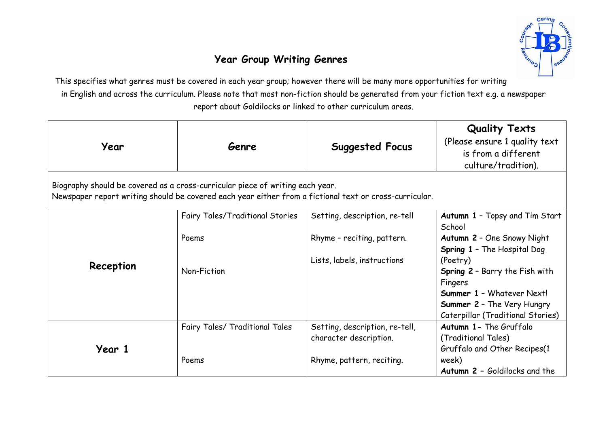

## **Year Group Writing Genres**

This specifies what genres must be covered in each year group; however there will be many more opportunities for writing in English and across the curriculum. Please note that most non-fiction should be generated from your fiction text e.g. a newspaper report about Goldilocks or linked to other curriculum areas.

| Year                                                                                                                                                                                    | Genre                           | <b>Suggested Focus</b>         | <b>Quality Texts</b><br>(Please ensure 1 quality text<br>is from a different<br>culture/tradition). |
|-----------------------------------------------------------------------------------------------------------------------------------------------------------------------------------------|---------------------------------|--------------------------------|-----------------------------------------------------------------------------------------------------|
| Biography should be covered as a cross-curricular piece of writing each year.<br>Newspaper report writing should be covered each year either from a fictional text or cross-curricular. |                                 |                                |                                                                                                     |
|                                                                                                                                                                                         | Fairy Tales/Traditional Stories | Setting, description, re-tell  | Autumn 1 - Topsy and Tim Start<br>School                                                            |
| Reception                                                                                                                                                                               | Poems                           | Rhyme - reciting, pattern.     | Autumn 2 - One Snowy Night<br><b>Spring 1 - The Hospital Dog</b>                                    |
|                                                                                                                                                                                         | Non-Fiction                     | Lists, labels, instructions    | (Poetry)<br>Spring 2 - Barry the Fish with                                                          |
|                                                                                                                                                                                         |                                 |                                | Fingers<br><b>Summer 1 - Whatever Next!</b>                                                         |
|                                                                                                                                                                                         |                                 |                                | <b>Summer 2 - The Very Hungry</b><br>Caterpillar (Traditional Stories)                              |
| Year 1                                                                                                                                                                                  | Fairy Tales/ Traditional Tales  | Setting, description, re-tell, | Autumn 1 - The Gruffalo                                                                             |
|                                                                                                                                                                                         |                                 | character description.         | (Traditional Tales)<br>Gruffalo and Other Recipes(1                                                 |
|                                                                                                                                                                                         | Poems                           | Rhyme, pattern, reciting.      | week)<br>Autumn 2 - Goldilocks and the                                                              |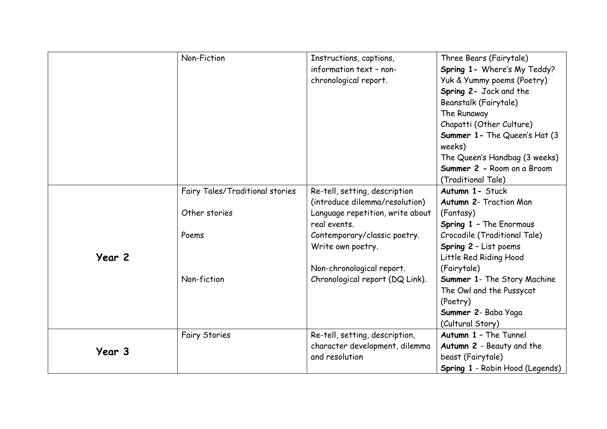|        | Non-Fiction                     | Instructions, captions,          | Three Bears (Fairytale)                |
|--------|---------------------------------|----------------------------------|----------------------------------------|
|        |                                 | information text - non-          | Spring 1- Where's My Teddy?            |
|        |                                 | chronological report.            | Yuk & Yummy poems (Poetry)             |
|        |                                 |                                  | Spring 2- Jack and the                 |
|        |                                 |                                  | Beanstalk (Fairytale)                  |
|        |                                 |                                  | The Runaway                            |
|        |                                 |                                  | Chapatti (Other Culture)               |
|        |                                 |                                  | <b>Summer 1- The Queen's Hat (3)</b>   |
|        |                                 |                                  | weeks)                                 |
|        |                                 |                                  | The Queen's Handbag (3 weeks)          |
|        |                                 |                                  | Summer 2 - Room on a Broom             |
|        |                                 |                                  | (Traditional Tale)                     |
|        | Fairy Tales/Traditional stories | Re-tell, setting, description    | Autumn 1- Stuck                        |
|        |                                 | (introduce dilemma/resolution)   | <b>Autumn 2- Traction Man</b>          |
|        | Other stories                   | Language repetition, write about | (Fantasy)                              |
|        |                                 | real events.                     | <b>Spring 1 - The Enormous</b>         |
|        | Poems                           | Contemporary/classic poetry.     | Crocodile (Traditional Tale)           |
|        |                                 | Write own poetry.                | Spring 2 - List poems                  |
| Year 2 |                                 |                                  | Little Red Riding Hood                 |
|        |                                 | Non-chronological report.        | (Fairytale)                            |
|        | Non-fiction                     | Chronological report (DQ Link).  | Summer 1- The Story Machine            |
|        |                                 |                                  | The Owl and the Pussycat               |
|        |                                 |                                  | (Poetry)                               |
|        |                                 |                                  | Summer 2- Baba Yaga                    |
|        |                                 |                                  | (Cultural Story)                       |
|        | <b>Fairy Stories</b>            | Re-tell, setting, description,   | Autumn 1 - The Tunnel                  |
| Year 3 |                                 | character development, dilemma   | Autumn 2 - Beauty and the              |
|        |                                 | and resolution                   | beast (Fairytale)                      |
|        |                                 |                                  | <b>Spring 1 - Robin Hood (Legends)</b> |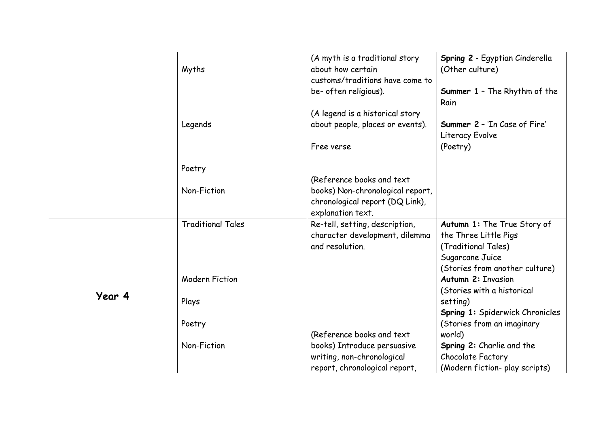|        | Myths                    | (A myth is a traditional story<br>about how certain<br>customs/traditions have come to | Spring 2 - Egyptian Cinderella<br>(Other culture)      |
|--------|--------------------------|----------------------------------------------------------------------------------------|--------------------------------------------------------|
|        |                          | be- often religious).                                                                  | <b>Summer 1 - The Rhythm of the</b><br>Rain            |
|        |                          | (A legend is a historical story                                                        |                                                        |
|        | Legends                  | about people, places or events).                                                       | <b>Summer 2 - 'In Case of Fire'</b><br>Literacy Evolve |
|        |                          | Free verse                                                                             | (Poetry)                                               |
|        | Poetry                   |                                                                                        |                                                        |
|        |                          | (Reference books and text                                                              |                                                        |
|        | Non-Fiction              | books) Non-chronological report,<br>chronological report (DQ Link),                    |                                                        |
|        |                          | explanation text.                                                                      |                                                        |
|        | <b>Traditional Tales</b> | Re-tell, setting, description,                                                         | Autumn 1: The True Story of                            |
|        |                          | character development, dilemma                                                         | the Three Little Pigs                                  |
|        |                          | and resolution.                                                                        | (Traditional Tales)                                    |
|        |                          |                                                                                        | Sugarcane Juice                                        |
| Year 4 |                          |                                                                                        | (Stories from another culture)                         |
|        | <b>Modern Fiction</b>    |                                                                                        | <b>Autumn 2: Invasion</b>                              |
|        |                          |                                                                                        | (Stories with a historical                             |
|        | Plays                    |                                                                                        | setting)                                               |
|        |                          |                                                                                        | Spring 1: Spiderwick Chronicles                        |
|        | Poetry                   |                                                                                        | (Stories from an imaginary                             |
|        |                          | (Reference books and text                                                              | world)                                                 |
|        | Non-Fiction              | books) Introduce persuasive                                                            | Spring 2: Charlie and the                              |
|        |                          | writing, non-chronological                                                             | Chocolate Factory                                      |
|        |                          | report, chronological report,                                                          | (Modern fiction- play scripts)                         |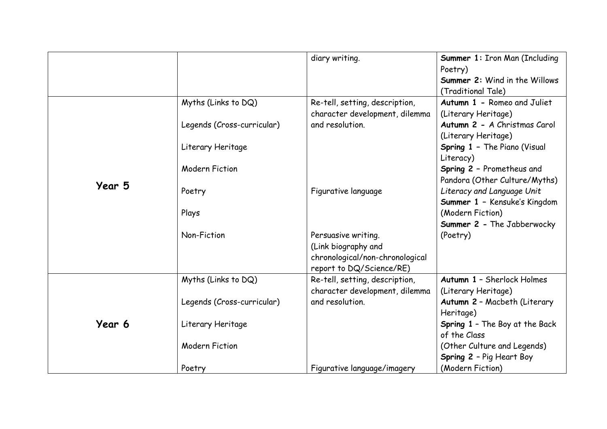|        |                                                                                                 | diary writing.                                                                                                                   | Summer 1: Iron Man (Including<br>Poetry)<br>Summer 2: Wind in the Willows<br>(Traditional Tale)                                                                                                                      |
|--------|-------------------------------------------------------------------------------------------------|----------------------------------------------------------------------------------------------------------------------------------|----------------------------------------------------------------------------------------------------------------------------------------------------------------------------------------------------------------------|
|        | Myths (Links to DQ)<br>Legends (Cross-curricular)<br>Literary Heritage<br><b>Modern Fiction</b> | Re-tell, setting, description,<br>character development, dilemma<br>and resolution.                                              | Autumn 1 - Romeo and Juliet<br>(Literary Heritage)<br>Autumn 2 - A Christmas Carol<br>(Literary Heritage)<br>Spring 1 - The Piano (Visual<br>Literacy)<br>Spring 2 - Prometheus and<br>Pandora (Other Culture/Myths) |
| Year 5 | Poetry<br>Plays<br>Non-Fiction                                                                  | Figurative language<br>Persuasive writing.<br>(Link biography and<br>chronological/non-chronological<br>report to DQ/Science/RE) | Literacy and Language Unit<br>Summer 1 - Kensuke's Kingdom<br>(Modern Fiction)<br>Summer 2 - The Jabberwocky<br>(Poetry)                                                                                             |
| Year 6 | Myths (Links to DQ)<br>Legends (Cross-curricular)<br>Literary Heritage<br><b>Modern Fiction</b> | Re-tell, setting, description,<br>character development, dilemma<br>and resolution.                                              | Autumn 1 - Sherlock Holmes<br>(Literary Heritage)<br>Autumn 2 - Macbeth (Literary<br>Heritage)<br>Spring 1 - The Boy at the Back<br>of the Class<br>(Other Culture and Legends)<br>Spring 2 - Pig Heart Boy          |
|        | Poetry                                                                                          | Figurative language/imagery                                                                                                      | (Modern Fiction)                                                                                                                                                                                                     |